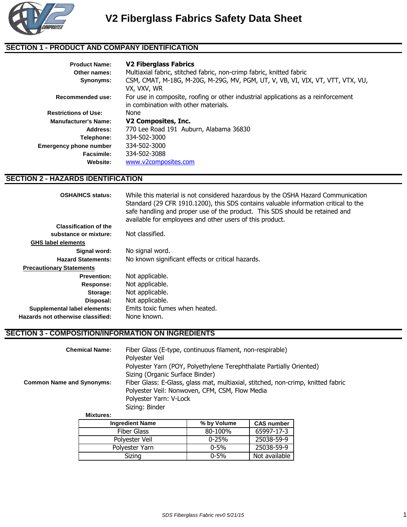

### **SECTION 1 - PRODUCT AND COMPANY IDENTIFICATION**

| <b>Product Name:</b>        | <b>V2 Fiberglass Fabrics</b>                                                                                              |  |  |
|-----------------------------|---------------------------------------------------------------------------------------------------------------------------|--|--|
| Other names:                | Multiaxial fabric, stitched fabric, non-crimp fabric, knitted fabric                                                      |  |  |
| Synonyms:                   | CSM, CMAT, M-18G, M-20G, M-29G, MV, PGM, UT, V, VB, VI, VIX, VT, VTT, VTX, VU,<br>VX, VXV, WR                             |  |  |
| Recommended use:            | For use in composite, roofing or other industrial applications as a reinforcement<br>in combination with other materials. |  |  |
| <b>Restrictions of Use:</b> | None                                                                                                                      |  |  |
| <b>Manufacturer's Name:</b> | V2 Composites, Inc.                                                                                                       |  |  |
| Address:                    | 770 Lee Road 191 Auburn, Alabama 36830                                                                                    |  |  |
| Telephone:                  | 334-502-3000                                                                                                              |  |  |
| Emergency phone number      | 334-502-3000                                                                                                              |  |  |
| Facsimile:                  | 334-502-3088                                                                                                              |  |  |
| Website:                    | www.v2composites.com                                                                                                      |  |  |

#### **SECTION 2 - HAZARDS IDENTIFICATION**

| <b>OSHA/HCS status:</b>           | While this material is not considered hazardous by the OSHA Hazard Communication<br>Standard (29 CFR 1910.1200), this SDS contains valuable information critical to the |
|-----------------------------------|-------------------------------------------------------------------------------------------------------------------------------------------------------------------------|
|                                   | safe handling and proper use of the product. This SDS should be retained and<br>available for employees and other users of this product.                                |
| <b>Classification of the</b>      |                                                                                                                                                                         |
| substance or mixture:             | Not classified.                                                                                                                                                         |
| <b>GHS label elements</b>         |                                                                                                                                                                         |
| Signal word:                      | No signal word.                                                                                                                                                         |
| <b>Hazard Statements:</b>         | No known significant effects or critical hazards.                                                                                                                       |
| <b>Precautionary Statements</b>   |                                                                                                                                                                         |
| <b>Prevention:</b>                | Not applicable.                                                                                                                                                         |
| Response:                         | Not applicable.                                                                                                                                                         |
| Storage:                          | Not applicable.                                                                                                                                                         |
| Disposal:                         | Not applicable.                                                                                                                                                         |
| Supplemental label elements:      | Emits toxic fumes when heated.                                                                                                                                          |
| Hazards not otherwise classified: | None known.                                                                                                                                                             |
|                                   |                                                                                                                                                                         |

## **SECTION 3 - COMPOSITION/INFORMATION ON INGREDIENTS**

| <b>Chemical Name:</b>            | Fiber Glass (E-type, continuous filament, non-respirable)<br>Polyester Veil      |
|----------------------------------|----------------------------------------------------------------------------------|
|                                  | Polyester Yarn (POY, Polyethylene Terephthalate Partially Oriented)              |
|                                  | Sizing (Organic Surface Binder)                                                  |
| <b>Common Name and Synonyms:</b> | Fiber Glass: E-Glass, glass mat, multiaxial, stitched, non-crimp, knitted fabric |
|                                  | Polyester Veil: Nonwoven, CFM, CSM, Flow Media                                   |
|                                  | Polyester Yarn: V-Lock                                                           |
|                                  | Sizing: Binder                                                                   |
| <b>Mixtures:</b>                 |                                                                                  |

| <b>Ingredient Name</b> | % by Volume | <b>CAS number</b> |
|------------------------|-------------|-------------------|
| Fiber Glass            | 80-100%     | 65997-17-3        |
| Polyester Veil         | $0 - 25%$   | 25038-59-9        |
| Polyester Yarn         | $0 - 5\%$   | 25038-59-9        |
| Sizing                 | $0 - 5\%$   | Not available     |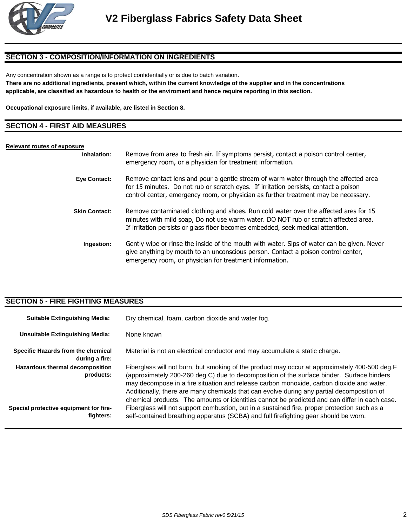

### **SECTION 3 - COMPOSITION/INFORMATION ON INGREDIENTS**

Any concentration shown as a range is to protect confidentially or is due to batch variation.

**There are no additional ingredients, present which, within the current knowledge of the supplier and in the concentrations applicable, are classified as hazardous to health or the enviroment and hence require reporting in this section.**

**Occupational exposure limits, if available, are listed in Section 8.**

#### **SECTION 4 - FIRST AID MEASURES**

#### **Relevant routes of exposure**

| Inhalation:          | Remove from area to fresh air. If symptoms persist, contact a poison control center,<br>emergency room, or a physician for treatment information.                                                                                                                   |
|----------------------|---------------------------------------------------------------------------------------------------------------------------------------------------------------------------------------------------------------------------------------------------------------------|
| Eye Contact:         | Remove contact lens and pour a gentle stream of warm water through the affected area<br>for 15 minutes. Do not rub or scratch eyes. If irritation persists, contact a poison<br>control center, emergency room, or physician as further treatment may be necessary. |
| <b>Skin Contact:</b> | Remove contaminated clothing and shoes. Run cold water over the affected ares for 15<br>minutes with mild soap, Do not use warm water. DO NOT rub or scratch affected area.<br>If irritation persists or glass fiber becomes embedded, seek medical attention.      |
| Ingestion:           | Gently wipe or rinse the inside of the mouth with water. Sips of water can be given. Never<br>give anything by mouth to an unconscious person. Contact a poison control center,<br>emergency room, or physician for treatment information.                          |

### **SECTION 5 - FIRE FIGHTING MEASURES**

| <b>Suitable Extinguishing Media:</b>                       | Dry chemical, foam, carbon dioxide and water fog.                                                                                                                                                                                                                                                                                                                                                                                                                                     |  |
|------------------------------------------------------------|---------------------------------------------------------------------------------------------------------------------------------------------------------------------------------------------------------------------------------------------------------------------------------------------------------------------------------------------------------------------------------------------------------------------------------------------------------------------------------------|--|
| <b>Unsuitable Extinguishing Media:</b>                     | None known                                                                                                                                                                                                                                                                                                                                                                                                                                                                            |  |
| Specific Hazards from the chemical<br>during a fire:       | Material is not an electrical conductor and may accumulate a static charge.                                                                                                                                                                                                                                                                                                                                                                                                           |  |
| Hazardous thermal decomposition<br>products:               | Fiberglass will not burn, but smoking of the product may occur at approximately 400-500 deg.F<br>(approximately 200-260 deg C) due to decomposition of the surface binder. Surface binders<br>may decompose in a fire situation and release carbon monoxide, carbon dioxide and water.<br>Additionally, there are many chemicals that can evolve during any partial decomposition of<br>chemical products. The amounts or identities cannot be predicted and can differ in each case. |  |
| <b>Special protective equipment for fire-</b><br>fighters: | Fiberglass will not support combustion, but in a sustained fire, proper protection such as a<br>self-contained breathing apparatus (SCBA) and full firefighting gear should be worn.                                                                                                                                                                                                                                                                                                  |  |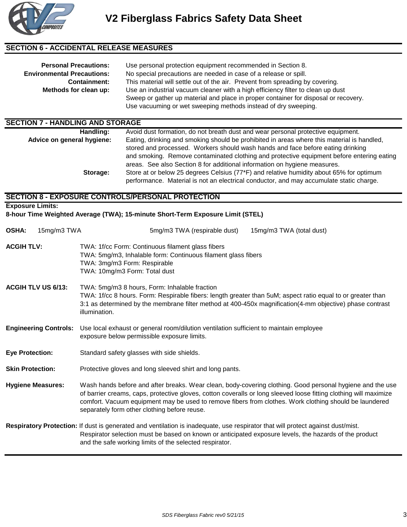

#### **SECTION 6 - ACCIDENTAL RELEASE MEASURES**

| <b>Personal Precautions:</b><br><b>Environmental Precautions:</b> | Use personal protection equipment recommended in Section 8.<br>No special precautions are needed in case of a release or spill.<br>This material will settle out of the air. Prevent from spreading by covering.<br><b>Containment:</b><br>Methods for clean up:<br>Use an industrial vacuum cleaner with a high efficiency filter to clean up dust<br>Sweep or gather up material and place in proper container for disposal or recovery.<br>Use vacuuming or wet sweeping methods instead of dry sweeping. |                                                                                                                                                                                    |
|-------------------------------------------------------------------|--------------------------------------------------------------------------------------------------------------------------------------------------------------------------------------------------------------------------------------------------------------------------------------------------------------------------------------------------------------------------------------------------------------------------------------------------------------------------------------------------------------|------------------------------------------------------------------------------------------------------------------------------------------------------------------------------------|
| <b>SECTION 7 - HANDLING AND STORAGE</b>                           |                                                                                                                                                                                                                                                                                                                                                                                                                                                                                                              |                                                                                                                                                                                    |
|                                                                   | Handling:                                                                                                                                                                                                                                                                                                                                                                                                                                                                                                    | Avoid dust formation, do not breath dust and wear personal protective equipment.                                                                                                   |
| Advice on general hygiene:                                        |                                                                                                                                                                                                                                                                                                                                                                                                                                                                                                              | Eating, drinking and smoking should be prohibited in areas where this material is handled,<br>stored and processed. Workers should wash hands and face before eating drinking      |
|                                                                   |                                                                                                                                                                                                                                                                                                                                                                                                                                                                                                              | and smoking. Remove contaminated clothing and protective equipment before entering eating                                                                                          |
|                                                                   |                                                                                                                                                                                                                                                                                                                                                                                                                                                                                                              | areas. See also Section 8 for additional information on hygiene measures.                                                                                                          |
|                                                                   | Storage:                                                                                                                                                                                                                                                                                                                                                                                                                                                                                                     | Store at or below 25 degrees Celsius (77*F) and relative humidity about 65% for optimum<br>performance. Material is not an electrical conductor, and may accumulate static charge. |
|                                                                   |                                                                                                                                                                                                                                                                                                                                                                                                                                                                                                              | <b>SECTION 8 - EXPOSURE CONTROLS/PERSONAL PROTECTION</b>                                                                                                                           |
|                                                                   |                                                                                                                                                                                                                                                                                                                                                                                                                                                                                                              |                                                                                                                                                                                    |
| <b>Exposure Limits:</b>                                           |                                                                                                                                                                                                                                                                                                                                                                                                                                                                                                              | 8-hour Time Weighted Average (TWA); 15-minute Short-Term Exposure Limit (STEL)                                                                                                     |
| <b>OSHA:</b><br>15mg/m3 TWA                                       |                                                                                                                                                                                                                                                                                                                                                                                                                                                                                                              | 5mg/m3 TWA (respirable dust)<br>15mg/m3 TWA (total dust)                                                                                                                           |
| <b>ACGIH TLV:</b>                                                 | TWA: 1f/cc Form: Continuous filament glass fibers<br>TWA: 5mg/m3, Inhalable form: Continuous filament glass fibers<br>TWA: 3mg/m3 Form: Respirable<br>TWA: 10mg/m3 Form: Total dust                                                                                                                                                                                                                                                                                                                          |                                                                                                                                                                                    |
| <b>ACGIH TLV US 6/13:</b>                                         | TWA: 5mg/m3 8 hours, Form: Inhalable fraction<br>TWA: 1f/cc 8 hours. Form: Respirable fibers: length greater than 5uM; aspect ratio equal to or greater than<br>3:1 as determined by the membrane filter method at 400-450x magnification(4-mm objective) phase contrast<br>illumination.                                                                                                                                                                                                                    |                                                                                                                                                                                    |
| <b>Engineering Controls:</b>                                      | Use local exhaust or general room/dilution ventilation sufficient to maintain employee<br>exposure below permissible exposure limits.                                                                                                                                                                                                                                                                                                                                                                        |                                                                                                                                                                                    |
| <b>Eye Protection:</b>                                            | Standard safety glasses with side shields.                                                                                                                                                                                                                                                                                                                                                                                                                                                                   |                                                                                                                                                                                    |
| <b>Skin Protection:</b>                                           | Protective gloves and long sleeved shirt and long pants.                                                                                                                                                                                                                                                                                                                                                                                                                                                     |                                                                                                                                                                                    |

**Hygiene Measures:** Wash hands before and after breaks. Wear clean, body-covering clothing. Good personal hygiene and the use of barrier creams, caps, protective gloves, cotton coveralls or long sleeved loose fitting clothing will maximize comfort. Vacuum equipment may be used to remove fibers from clothes. Work clothing should be laundered separately form other clothing before reuse.

**Respiratory Protection:** If dust is generated and ventilation is inadequate, use respirator that will protect against dust/mist. Respirator selection must be based on known or anticipated exposure levels, the hazards of the product and the safe working limits of the selected respirator.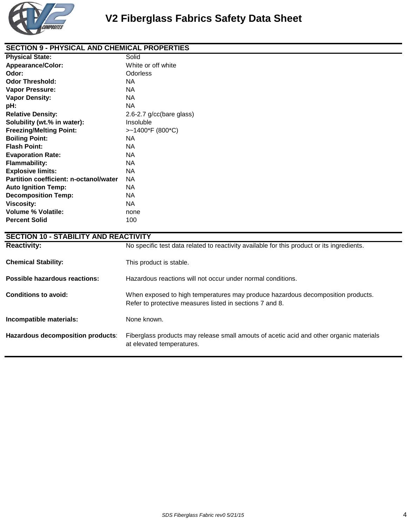

| <b>SECTION 9 - PHYSICAL AND CHEMICAL PROPERTIES</b> |                          |  |
|-----------------------------------------------------|--------------------------|--|
| <b>Physical State:</b>                              | Solid                    |  |
| <b>Appearance/Color:</b>                            | White or off white       |  |
| Odor:                                               | <b>Odorless</b>          |  |
| <b>Odor Threshold:</b>                              | NA.                      |  |
| Vapor Pressure:                                     | <b>NA</b>                |  |
| <b>Vapor Density:</b>                               | <b>NA</b>                |  |
| pH:                                                 | <b>NA</b>                |  |
| <b>Relative Density:</b>                            | 2.6-2.7 g/cc(bare glass) |  |
| Solubility (wt.% in water):                         | Insoluble                |  |
| <b>Freezing/Melting Point:</b>                      | >~1400*F (800*C)         |  |
| <b>Boiling Point:</b>                               | <b>NA</b>                |  |
| <b>Flash Point:</b>                                 | <b>NA</b>                |  |
| <b>Evaporation Rate:</b>                            | <b>NA</b>                |  |
| <b>Flammability:</b>                                | <b>NA</b>                |  |
| <b>Explosive limits:</b>                            | <b>NA</b>                |  |
| Partition coefficient: n-octanol/water              | <b>NA</b>                |  |
| <b>Auto Ignition Temp:</b>                          | <b>NA</b>                |  |
| <b>Decomposition Temp:</b>                          | NA.                      |  |
| <b>Viscosity:</b>                                   | <b>NA</b>                |  |
| <b>Volume % Volatile:</b>                           | none                     |  |
| <b>Percent Solid</b>                                | 100                      |  |
|                                                     |                          |  |
| <b>SECTION 10 - STABILITY AND REACTIVITY</b>        |                          |  |

| <b>SECTION 10 - STABILITY AND REACTIVITY</b> |                                                                                                                                             |  |
|----------------------------------------------|---------------------------------------------------------------------------------------------------------------------------------------------|--|
| <b>Reactivity:</b>                           | No specific test data related to reactivity available for this product or its ingredients.                                                  |  |
| <b>Chemical Stability:</b>                   | This product is stable.                                                                                                                     |  |
| Possible hazardous reactions:                | Hazardous reactions will not occur under normal conditions.                                                                                 |  |
| Conditions to avoid:                         | When exposed to high temperatures may produce hazardous decomposition products.<br>Refer to protective measures listed in sections 7 and 8. |  |
| Incompatible materials:                      | None known.                                                                                                                                 |  |
| Hazardous decomposition products:            | Fiberglass products may release small amouts of acetic acid and other organic materials<br>at elevated temperatures.                        |  |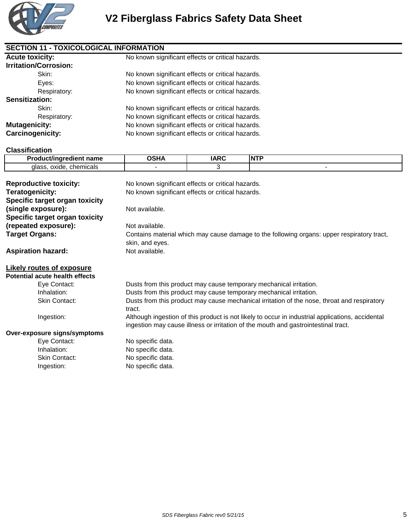

| <b>SECTION 11 - TOXICOLOGICAL INFORMATION</b> |                                                   |  |  |
|-----------------------------------------------|---------------------------------------------------|--|--|
| <b>Acute toxicity:</b>                        | No known significant effects or critical hazards. |  |  |
| <b>Irritation/Corrosion:</b>                  |                                                   |  |  |
| Skin:                                         | No known significant effects or critical hazards. |  |  |
| Eyes:                                         | No known significant effects or critical hazards. |  |  |
| Respiratory:                                  | No known significant effects or critical hazards. |  |  |
| <b>Sensitization:</b>                         |                                                   |  |  |
| Skin:                                         | No known significant effects or critical hazards. |  |  |
| Respiratory:                                  | No known significant effects or critical hazards. |  |  |
| <b>Mutagenicity:</b>                          | No known significant effects or critical hazards. |  |  |
| Carcinogenicity:                              | No known significant effects or critical hazards. |  |  |

#### **Classification**

| <b>10.00 MM</b><br>.<br>.                    | . | .<br>IN |
|----------------------------------------------|---|---------|
| iemicals<br>∩YIN⊢<br>~~<br>$\sim$<br>วก<br>. |   |         |

| <b>Reproductive toxicity:</b>  | No known significant effects or critical hazards.                                                                                                                                      |  |  |
|--------------------------------|----------------------------------------------------------------------------------------------------------------------------------------------------------------------------------------|--|--|
| Teratogenicity:                | No known significant effects or critical hazards.                                                                                                                                      |  |  |
| Specific target organ toxicity |                                                                                                                                                                                        |  |  |
| (single exposure):             | Not available.                                                                                                                                                                         |  |  |
| Specific target organ toxicity |                                                                                                                                                                                        |  |  |
| (repeated exposure):           | Not available.                                                                                                                                                                         |  |  |
| <b>Target Organs:</b>          | Contains material which may cause damage to the following organs: upper respiratory tract,<br>skin, and eyes.                                                                          |  |  |
| <b>Aspiration hazard:</b>      | Not available.                                                                                                                                                                         |  |  |
|                                |                                                                                                                                                                                        |  |  |
| Likely routes of exposure      |                                                                                                                                                                                        |  |  |
| Potential acute health effects |                                                                                                                                                                                        |  |  |
| Eye Contact:                   | Dusts from this product may cause temporary mechanical irritation.                                                                                                                     |  |  |
| Inhalation:                    | Dusts from this product may cause temporary mechanical irritation.                                                                                                                     |  |  |
| Skin Contact:                  | Dusts from this product may cause mechanical irritation of the nose, throat and respiratory<br>tract.                                                                                  |  |  |
| Ingestion:                     | Although ingestion of this product is not likely to occur in industrial applications, accidental<br>ingestion may cause illness or irritation of the mouth and gastrointestinal tract. |  |  |
| Over-exposure signs/symptoms   |                                                                                                                                                                                        |  |  |
| Eye Contact:                   | No specific data.                                                                                                                                                                      |  |  |
| Inhalation:                    | No specific data.                                                                                                                                                                      |  |  |
| <b>Skin Contact:</b>           | No specific data.                                                                                                                                                                      |  |  |
| Ingestion:                     | No specific data.                                                                                                                                                                      |  |  |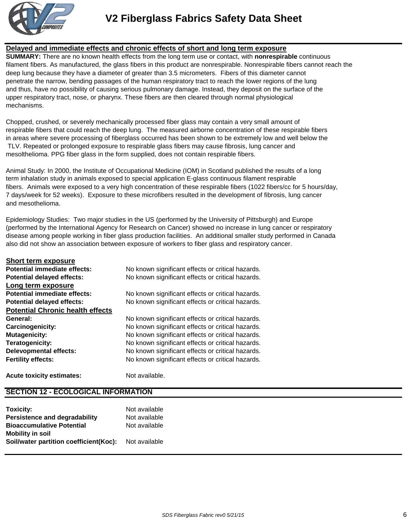

#### **Delayed and immediate effects and chronic effects of short and long term exposure**

**SUMMARY:** There are no known health effects from the long term use or contact, with **nonrespirable** continuous filament fibers. As manufactured, the glass fibers in this product are nonrespirable. Nonrespirable fibers cannot reach the deep lung because they have a diameter of greater than 3.5 micrometers. Fibers of this diameter cannot penetrate the narrow, bending passages of the human respiratory tract to reach the lower regions of the lung and thus, have no possibility of causing serious pulmonary damage. Instead, they deposit on the surface of the upper respiratory tract, nose, or pharynx. These fibers are then cleared through normal physiological mechanisms.

Chopped, crushed, or severely mechanically processed fiber glass may contain a very small amount of respirable fibers that could reach the deep lung. The measured airborne concentration of these respirable fibers in areas where severe processing of fiberglass occurred has been shown to be extremely low and well below the TLV. Repeated or prolonged exposure to respirable glass fibers may cause fibrosis, lung cancer and mesolthelioma. PPG fiber glass in the form supplied, does not contain respirable fibers.

Animal Study: In 2000, the Institute of Occupational Medicine (IOM) in Scotland published the results of a long term inhalation study in animals exposed to special application E-glass continuous filament respirable fibers. Animals were exposed to a very high concentration of these respirable fibers (1022 fibers/cc for 5 hours/day, 7 days/week for 52 weeks). Exposure to these microfibers resulted in the development of fibrosis, lung cancer and mesothelioma.

Epidemiology Studies: Two major studies in the US (performed by the University of Pittsburgh) and Europe (performed by the International Agency for Research on Cancer) showed no increase in lung cancer or respiratory disease among people working in fiber glass production facilities. An additional smaller study performed in Canada also did not show an association between exposure of workers to fiber glass and respiratory cancer.

| <b>Short term exposure</b>              |                                                   |
|-----------------------------------------|---------------------------------------------------|
| <b>Potential immediate effects:</b>     | No known significant effects or critical hazards. |
| <b>Potential delayed effects:</b>       | No known significant effects or critical hazards. |
| Long term exposure                      |                                                   |
| Potential immediate effects:            | No known significant effects or critical hazards. |
| <b>Potential delayed effects:</b>       | No known significant effects or critical hazards. |
| <b>Potential Chronic health effects</b> |                                                   |
| General:                                | No known significant effects or critical hazards. |
| <b>Carcinogenicity:</b>                 | No known significant effects or critical hazards. |
| <b>Mutagenicity:</b>                    | No known significant effects or critical hazards. |
| Teratogenicity:                         | No known significant effects or critical hazards. |
| <b>Delevopmental effects:</b>           | No known significant effects or critical hazards. |
| <b>Fertility effects:</b>               | No known significant effects or critical hazards. |
|                                         |                                                   |

**Acute toxicity estimates:** Not available.

### **SECTION 12 - ECOLOGICAL INFORMATION**

| Toxicity:                              | Not available |
|----------------------------------------|---------------|
| Persistence and degradability          | Not available |
| <b>Bioaccumulative Potential</b>       | Not available |
| <b>Mobility in soil</b>                |               |
| Soil/water partition coefficient(Koc): | Not available |